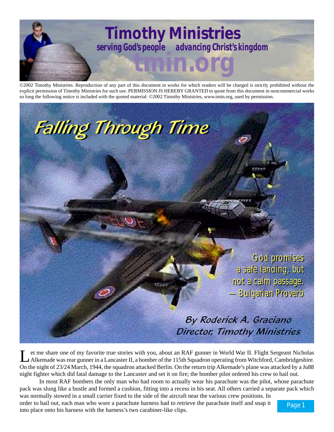

©2002 Timothy Ministries. Reproduction of any part of this document in works for which readers will be charged is strictly prohibited without the explicit permission of Timothy Ministries for such use. PERMISSION IS HEREBY GRANTED to quote from this document in noncommercial works so long the following notice is included with the quoted material: ©2002 Timothy Ministries, www.tmin.org, used by permission.



et me share one of my favorite true stories with you, about an RAF gunner in World War II. Flight Sergeant Nicholas<br>Alkemade was rear gunner in a Lancaster II, a bomber of the 115th Squadron operating from Witchford, Cambr On the night of 23/24 March, 1944, the squadron attacked Berlin. On the return trip Alkemade's plane was attacked by a Ju88 night fighter which did fatal damage to the Lancaster and set it on fire; the bomber pilot ordered his crew to bail out.

In most RAF bombers the only man who had room to actually wear his parachute was the pilot, whose parachute pack was slung like a bustle and formed a cushion, fitting into a recess in his seat. All others carried a separate pack which was normally stowed in a small carrier fixed to the side of the aircraft near the various crew positions. In

order to bail out, each man who wore a parachute harness had to retrieve the parachute itself and snap it into place onto his harness with the harness's two carabiner-like clips.